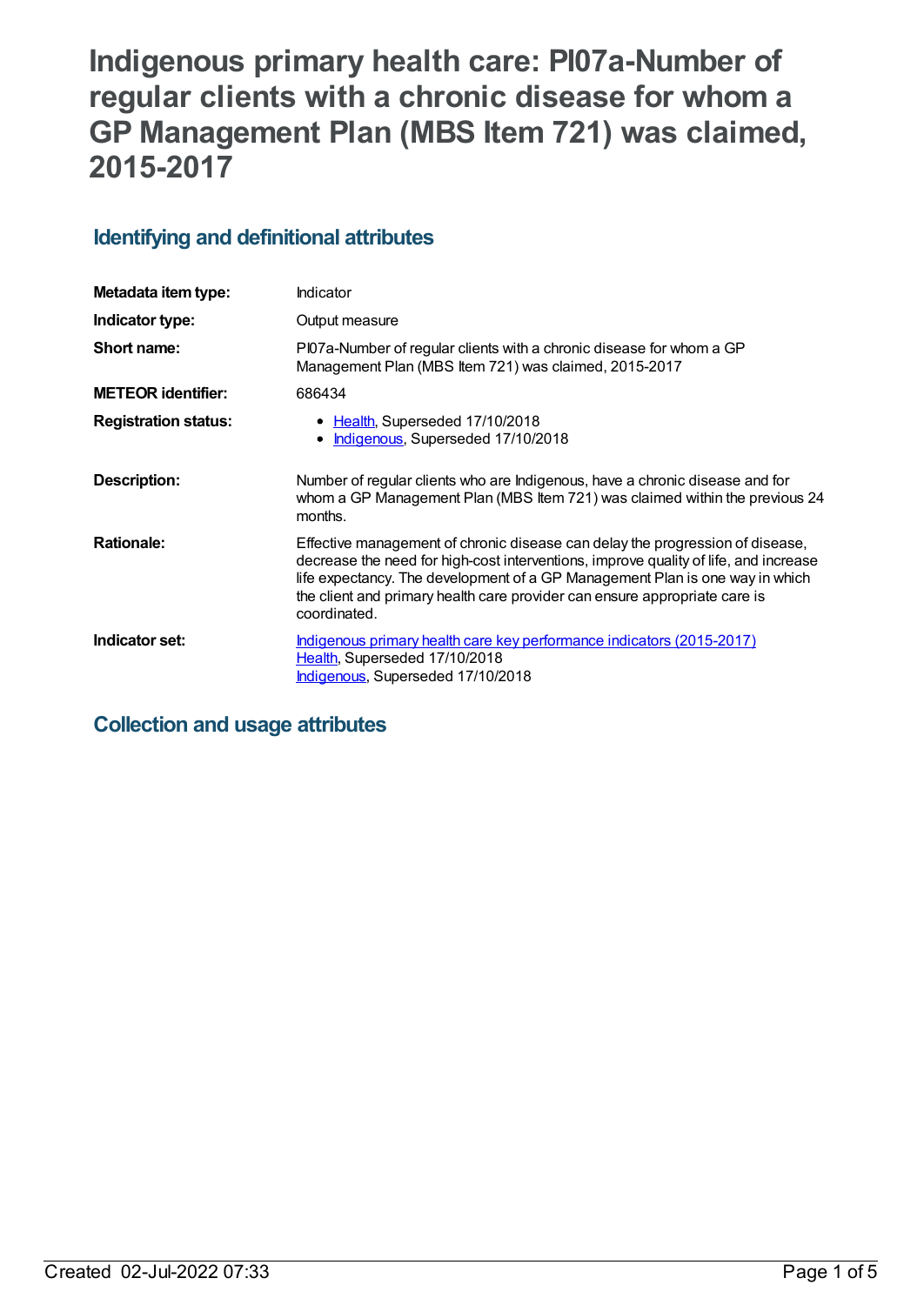# **Indigenous primary health care: PI07a-Number of regular clients with a chronic disease for whom a GP Management Plan (MBS Item 721) was claimed, 2015-2017**

# **Identifying and definitional attributes**

| Metadata item type:         | Indicator                                                                                                                                                                                                                                                                                                                                           |
|-----------------------------|-----------------------------------------------------------------------------------------------------------------------------------------------------------------------------------------------------------------------------------------------------------------------------------------------------------------------------------------------------|
| Indicator type:             | Output measure                                                                                                                                                                                                                                                                                                                                      |
| Short name:                 | PI07a-Number of regular clients with a chronic disease for whom a GP<br>Management Plan (MBS Item 721) was claimed, 2015-2017                                                                                                                                                                                                                       |
| <b>METEOR identifier:</b>   | 686434                                                                                                                                                                                                                                                                                                                                              |
| <b>Registration status:</b> | • Health, Superseded 17/10/2018<br>Indigenous, Superseded 17/10/2018                                                                                                                                                                                                                                                                                |
| Description:                | Number of regular clients who are Indigenous, have a chronic disease and for<br>whom a GP Management Plan (MBS Item 721) was claimed within the previous 24<br>months.                                                                                                                                                                              |
| <b>Rationale:</b>           | Effective management of chronic disease can delay the progression of disease,<br>decrease the need for high-cost interventions, improve quality of life, and increase<br>life expectancy. The development of a GP Management Plan is one way in which<br>the client and primary health care provider can ensure appropriate care is<br>coordinated. |
| Indicator set:              | Indigenous primary health care key performance indicators (2015-2017)<br>Health, Superseded 17/10/2018<br>Indigenous, Superseded 17/10/2018                                                                                                                                                                                                         |

# **Collection and usage attributes**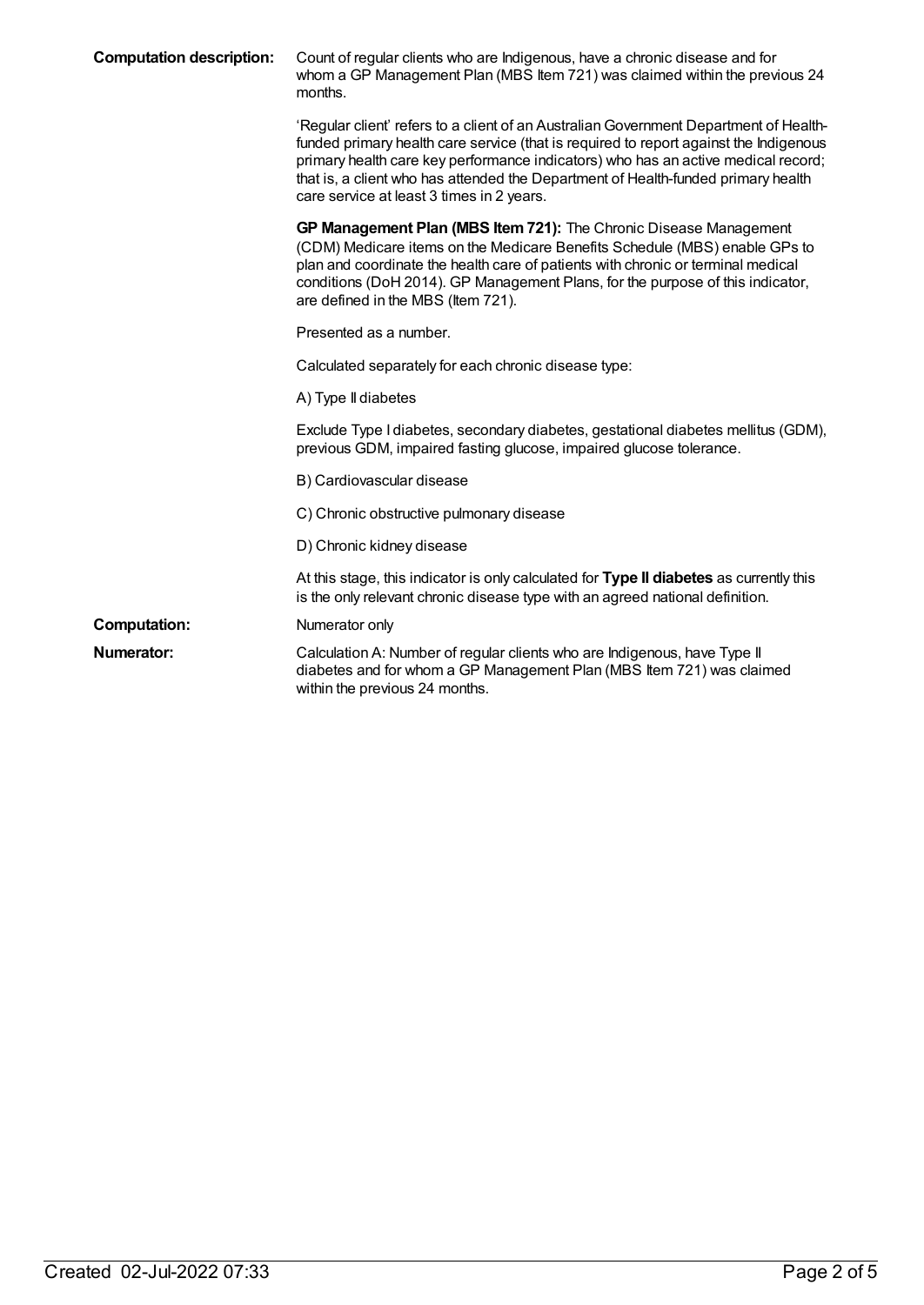| <b>Computation description:</b> | Count of regular clients who are Indigenous, have a chronic disease and for<br>whom a GP Management Plan (MBS Item 721) was claimed within the previous 24<br>months.                                                                                                                                                                                                                                 |
|---------------------------------|-------------------------------------------------------------------------------------------------------------------------------------------------------------------------------------------------------------------------------------------------------------------------------------------------------------------------------------------------------------------------------------------------------|
|                                 | 'Regular client' refers to a client of an Australian Government Department of Health-<br>funded primary health care service (that is required to report against the Indigenous<br>primary health care key performance indicators) who has an active medical record;<br>that is, a client who has attended the Department of Health-funded primary health<br>care service at least 3 times in 2 years. |
|                                 | GP Management Plan (MBS Item 721): The Chronic Disease Management<br>(CDM) Medicare items on the Medicare Benefits Schedule (MBS) enable GPs to<br>plan and coordinate the health care of patients with chronic or terminal medical<br>conditions (DoH 2014). GP Management Plans, for the purpose of this indicator,<br>are defined in the MBS (Item 721).                                           |
|                                 | Presented as a number.                                                                                                                                                                                                                                                                                                                                                                                |
|                                 | Calculated separately for each chronic disease type:                                                                                                                                                                                                                                                                                                                                                  |
|                                 | A) Type II diabetes                                                                                                                                                                                                                                                                                                                                                                                   |
|                                 | Exclude Type I diabetes, secondary diabetes, gestational diabetes mellitus (GDM),<br>previous GDM, impaired fasting glucose, impaired glucose tolerance.                                                                                                                                                                                                                                              |
|                                 | B) Cardiovascular disease                                                                                                                                                                                                                                                                                                                                                                             |
|                                 | C) Chronic obstructive pulmonary disease                                                                                                                                                                                                                                                                                                                                                              |
|                                 | D) Chronic kidney disease                                                                                                                                                                                                                                                                                                                                                                             |
|                                 | At this stage, this indicator is only calculated for Type II diabetes as currently this<br>is the only relevant chronic disease type with an agreed national definition.                                                                                                                                                                                                                              |
| <b>Computation:</b>             | Numerator only                                                                                                                                                                                                                                                                                                                                                                                        |
| <b>Numerator:</b>               | Calculation A: Number of regular clients who are Indigenous, have Type II<br>diabetes and for whom a GP Management Plan (MBS Item 721) was claimed<br>within the previous 24 months.                                                                                                                                                                                                                  |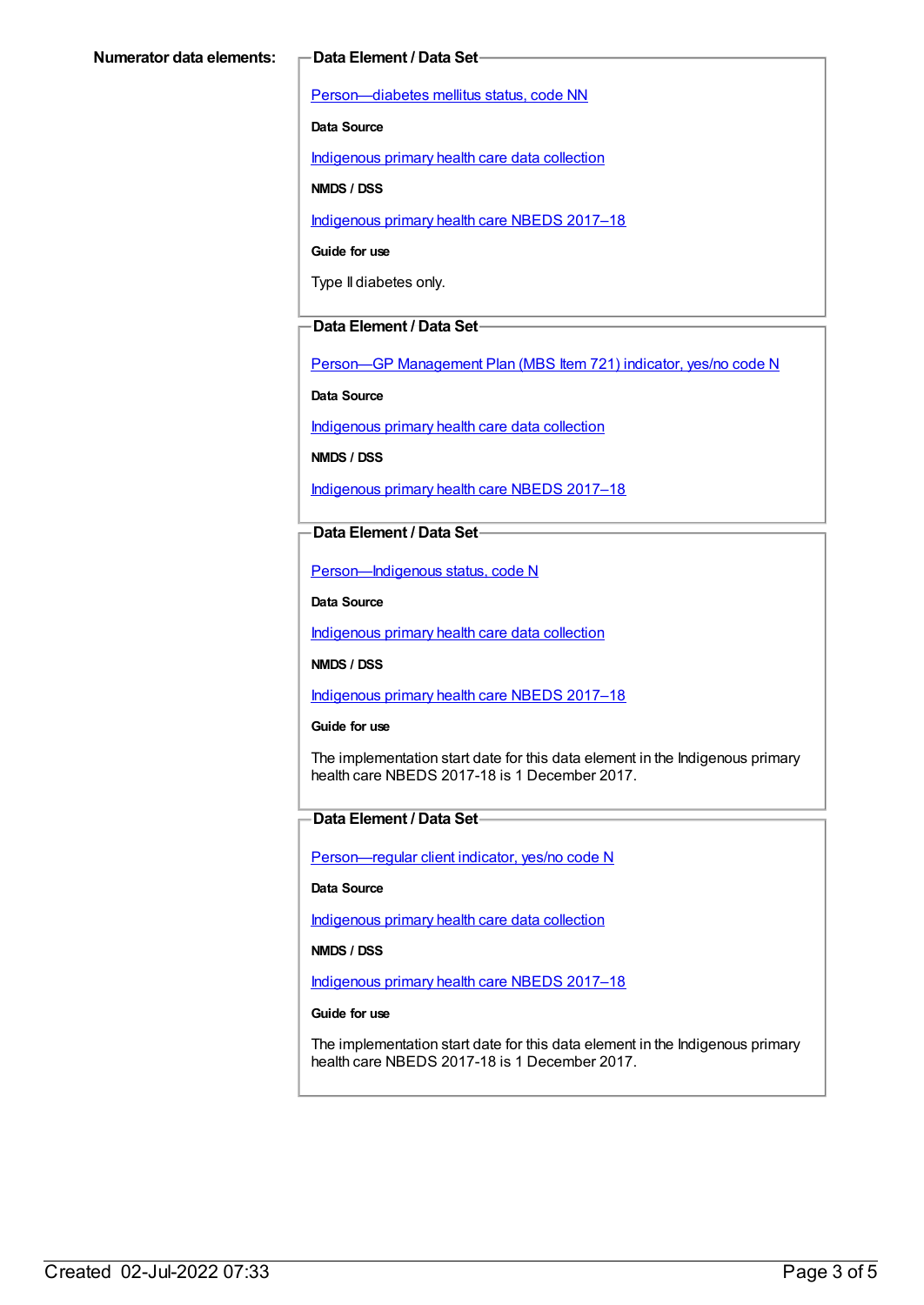[Person—diabetes](https://meteor.aihw.gov.au/content/270194) mellitus status, code NN

**Data Source**

[Indigenous](https://meteor.aihw.gov.au/content/430643) primary health care data collection

**NMDS / DSS**

[Indigenous](https://meteor.aihw.gov.au/content/686603) primary health care NBEDS 2017–18

**Guide for use**

Type II diabetes only.

#### **Data Element / Data Set**

Person-GP [Management](https://meteor.aihw.gov.au/content/504966) Plan (MBS Item 721) indicator, yes/no code N

**Data Source**

[Indigenous](https://meteor.aihw.gov.au/content/430643) primary health care data collection

**NMDS / DSS**

[Indigenous](https://meteor.aihw.gov.au/content/686603) primary health care NBEDS 2017–18

#### **Data Element / Data Set**

[Person—Indigenous](https://meteor.aihw.gov.au/content/602543) status, code N

**Data Source**

[Indigenous](https://meteor.aihw.gov.au/content/430643) primary health care data collection

**NMDS / DSS**

[Indigenous](https://meteor.aihw.gov.au/content/686603) primary health care NBEDS 2017–18

**Guide for use**

The implementation start date for this data element in the Indigenous primary health care NBEDS 2017-18 is 1 December 2017.

### **Data Element / Data Set**

[Person—regular](https://meteor.aihw.gov.au/content/686291) client indicator, yes/no code N

**Data Source**

[Indigenous](https://meteor.aihw.gov.au/content/430643) primary health care data collection

**NMDS / DSS**

[Indigenous](https://meteor.aihw.gov.au/content/686603) primary health care NBEDS 2017–18

#### **Guide for use**

The implementation start date for this data element in the Indigenous primary health care NBEDS 2017-18 is 1 December 2017.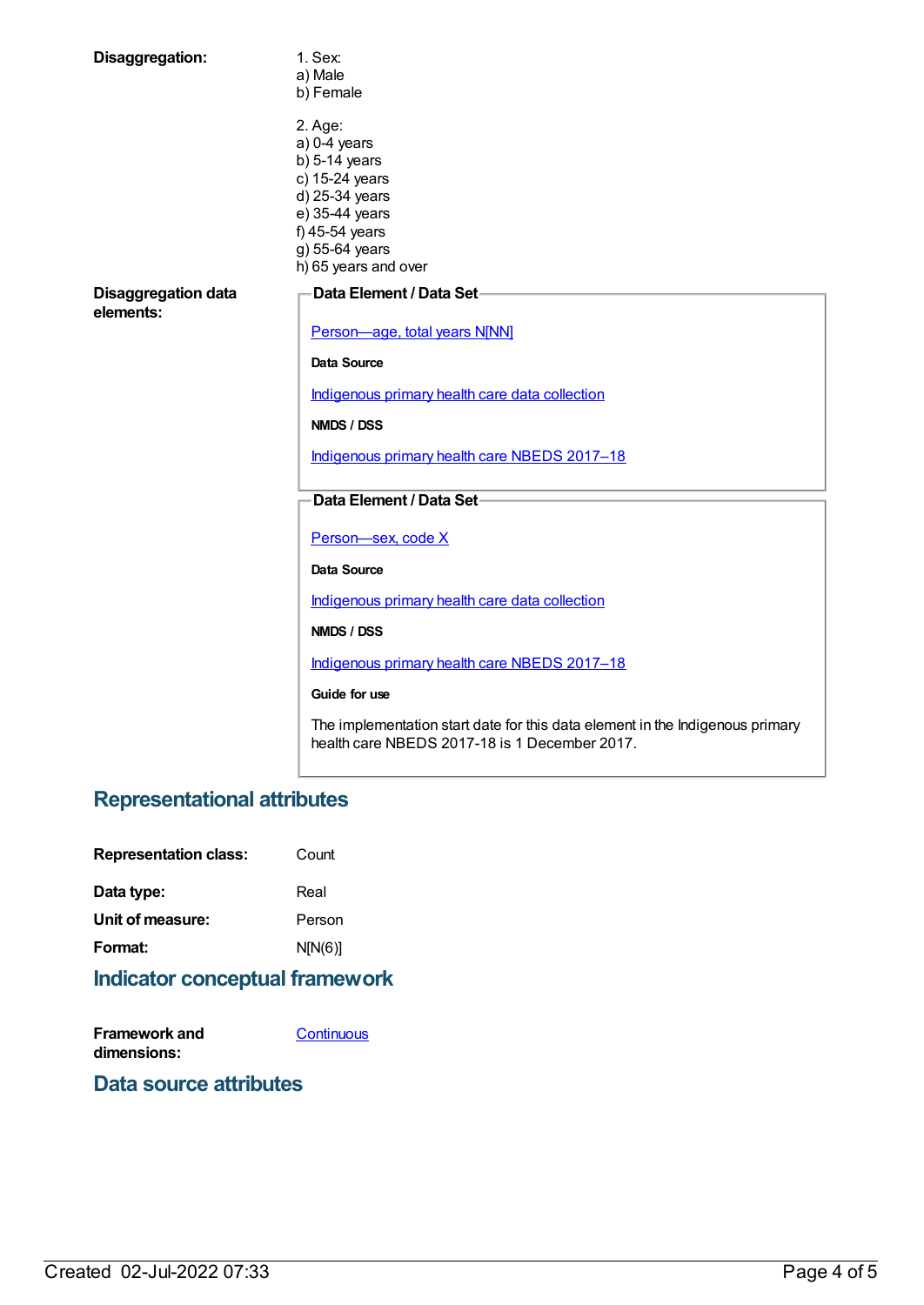| Disaggregation:                         | 1. Sex:<br>a) Male<br>b) Female                                                                                                                                |  |
|-----------------------------------------|----------------------------------------------------------------------------------------------------------------------------------------------------------------|--|
|                                         | 2. Age:<br>$a)$ 0-4 years<br>$b)$ 5-14 years<br>c) 15-24 years<br>d) 25-34 years<br>e) 35-44 years<br>f) 45-54 years<br>g) 55-64 years<br>h) 65 years and over |  |
| <b>Disaggregation data</b><br>elements: | Data Element / Data Set-<br>Person-age, total years N[NN]                                                                                                      |  |
|                                         | <b>Data Source</b>                                                                                                                                             |  |
|                                         | Indigenous primary health care data collection                                                                                                                 |  |
|                                         | NMDS / DSS                                                                                                                                                     |  |
|                                         | Indigenous primary health care NBEDS 2017-18                                                                                                                   |  |
|                                         | Data Element / Data Set-                                                                                                                                       |  |
|                                         | Person-sex, code X                                                                                                                                             |  |
|                                         | Data Source                                                                                                                                                    |  |
|                                         | Indigenous primary health care data collection                                                                                                                 |  |
|                                         | NMDS / DSS                                                                                                                                                     |  |
|                                         | Indigenous primary health care NBEDS 2017-18                                                                                                                   |  |
|                                         | Guide for use                                                                                                                                                  |  |
|                                         | The implementation start date for this data element in the Indigenous primary<br>health care NBEDS 2017-18 is 1 December 2017.                                 |  |
|                                         |                                                                                                                                                                |  |

# **Representational attributes**

| Count   |
|---------|
| Real    |
| Person  |
| N[N(6)] |
|         |

# **Indicator conceptual framework**

| Framework and | Continuous |
|---------------|------------|
| dimensions:   |            |

# **Data source attributes**